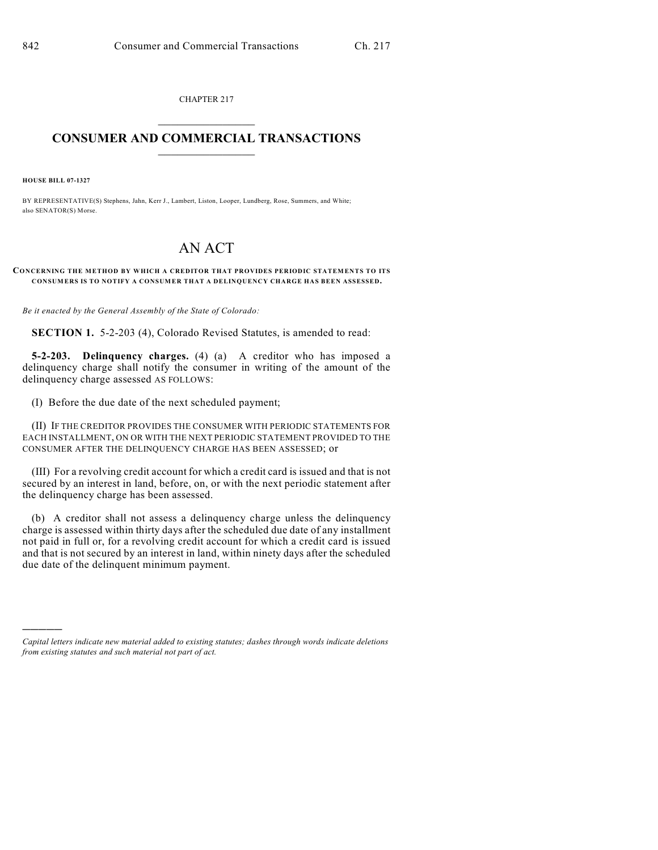CHAPTER 217  $\overline{\phantom{a}}$  . The set of the set of the set of the set of the set of the set of the set of the set of the set of the set of the set of the set of the set of the set of the set of the set of the set of the set of the set o

## **CONSUMER AND COMMERCIAL TRANSACTIONS**  $\frac{1}{\sqrt{2}}$  ,  $\frac{1}{\sqrt{2}}$  ,  $\frac{1}{\sqrt{2}}$  ,  $\frac{1}{\sqrt{2}}$  ,  $\frac{1}{\sqrt{2}}$  ,  $\frac{1}{\sqrt{2}}$

**HOUSE BILL 07-1327**

)))))

BY REPRESENTATIVE(S) Stephens, Jahn, Kerr J., Lambert, Liston, Looper, Lundberg, Rose, Summers, and White; also SENATOR(S) Morse.

## AN ACT

## **CONCERNING THE METHOD BY WHICH A CREDITOR THAT PROVIDES PERIODIC STATEMENTS TO ITS CONSUMERS IS TO NOTIFY A CONSUMER THAT A DELINQUENCY CHARGE HAS BEEN ASSESSED.**

*Be it enacted by the General Assembly of the State of Colorado:*

**SECTION 1.** 5-2-203 (4), Colorado Revised Statutes, is amended to read:

**5-2-203. Delinquency charges.** (4) (a) A creditor who has imposed a delinquency charge shall notify the consumer in writing of the amount of the delinquency charge assessed AS FOLLOWS:

(I) Before the due date of the next scheduled payment;

(II) IF THE CREDITOR PROVIDES THE CONSUMER WITH PERIODIC STATEMENTS FOR EACH INSTALLMENT, ON OR WITH THE NEXT PERIODIC STATEMENT PROVIDED TO THE CONSUMER AFTER THE DELINQUENCY CHARGE HAS BEEN ASSESSED; or

(III) For a revolving credit account for which a credit card is issued and that is not secured by an interest in land, before, on, or with the next periodic statement after the delinquency charge has been assessed.

(b) A creditor shall not assess a delinquency charge unless the delinquency charge is assessed within thirty days after the scheduled due date of any installment not paid in full or, for a revolving credit account for which a credit card is issued and that is not secured by an interest in land, within ninety days after the scheduled due date of the delinquent minimum payment.

*Capital letters indicate new material added to existing statutes; dashes through words indicate deletions from existing statutes and such material not part of act.*